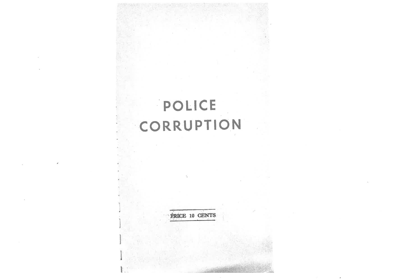# POLICE CORRUPTION

PRICE 10 CENTS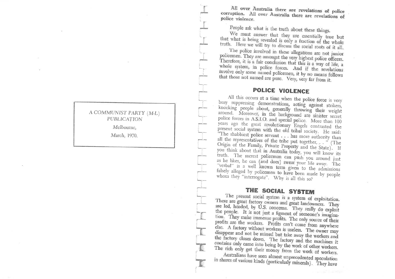### A COMMUNIST PARTY (M-L) PUBLICATION

Melbourne.

March, 1970.

All over Australia there are revelations of police corruption. All over Australia there are revelations of police violence.

People ask what is the truth about these things.

We must answer that they are essentially true but that what is being revealed is only a fraction of the whole truth. Here we will try to discuss the social roots of it all.

The police involved in these allegations are not junior policemen. They are amongst the very highest police officers. Therefore, it is a fair conclusion that this is a way of life, a whole system, in police forces. And if the revelations involve only some named policemen, it by no means follows that those not named are pure. Very, very far from it.

## **POLICE VIOLENCE**

All this occurs at a time when the police force is very busy suppressing demonstrations, acting against strikers, knocking people about, generally throwing their weight around. Moreover, in the background are sinister secret police forces in A.S.I.O. and special police. More than 100 years ago the great revolutionary Engels contrasted the present social system with the old tribal society. He said: <sup>2</sup>The shabbiest police servant . . . has more authority than all the representatives of the tribe put together, ... " (The Origin of the Family, Private Property and the State). If you think about that in Australia today, you will know its truth. The merest policeman can push you around just as he likes, he can (and does) swear your life away. The "verbal" is a well known term given to the admissions falsely alleged by policemen to have been made by people whom they "interrogate". Why is all this so?

# THE SOCIAL SYSTEM

The present social system is a system of exploitation. There are great factory owners and great landowners. They are led, headed, by U.S. concerns. They really do exploit the people. It is not just a figment of someone's imagination. They make immense profits. The only source of their profits are the workers. Profits can't come from anywhere else. A factory without workers is useless. The owner may disappear and not be missed but take away the workers and the factory closes down. The factory and the machines it contains only came into being by the work of other workers. The rich only get their money from the work of workers.

Australians have seen almost unprecedented speculation in shares of various kinds (particularly minerals). They have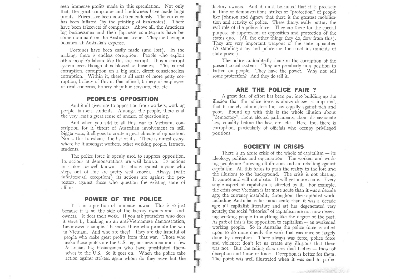seen imrnense profits made in this speculation. Not only that, the great companies and landowners have made huge profits. Prices have been raised tremendously. The currency has been inflated (by the printing of banknotes). There have been takeovers of companies. Above all, the American big businessmen and their Japanese counterparts have become dominant on the Australian scene. They are having a bonanza at Australia's expense.

Fortunes have been easily made (and lost). In the making, there is endless corruption. People who exploit other people's labour like this are corrupt. It is a corrupt system even though it is blessed as business. This is real corruption, corruption on a big scale, direct conscienceless corruption. Within it, there is all sorts of more petty corruption, bribery of this or that official, bribery of employees of rival concerns, bribery of public servants, etc. etc.

#### PEOPLE'S OPPOSITION

And it all gives rise to opposition from workers, working people, farmers, students. Amongst the people, there is at the very least a great sense of unease, of questioning.

And when you add to all this, war in Vietnam, conscription for it, threat of Australian involvenent in still bigger wars, it all goes to create a great clinate of oppositiori. Nor is this to exhaust the list of ills. There is unrest everywhere be it amongst workers, other working people, farmers, students.

The police force is openly used to suppress opposition. Its actions at demonstrations are well known. Its actions in strikes are well known. Its actions against anyone who steps out of line are pretty well known. Always (with infinitesimal exceptions) its actions are against the protestors, against those who question the existing state of afiairs.

#### POWER OF THE POLICE

It is in a position of immense power. This is so iust because it is on the side of the factory owners and landowners. It does their work. If you ask yourselves who does it serve by breaking up an anti-Vietnamese demonstration, the answer is simple. It serves those who promote the war in Vietnam. And who are they? They are the handful of people who make great profits from that war. Those who make those profits are the U.S. big business men and a few Australian big businessmen who have prostituted themselves to the U.S. So it goes on. When the police take action against strikers, again whom do they serve but the factory owners. And it must be noted that it is precisely in time of demonstrations, strikes or "protection" of people like Johnson and Agnew that there is the greatest mobilisation and activity of police. These things really portray the real role of the police force. They are there for the special purpose of suppression of opposition and protection of the status quo. (All the other things they do, flow from this). They are very important weapons of the state apparatus. (A standing army and police are the chief instruments of state power).

The police undoubtedly share in the corruption of the present social system. They are peculiarly in a position to batten on people. They have the power. Why not sell some protection? And they do sell it.

#### ARE THE POLICE FAIR ?

A great deal of effort has been put into building up the illusion that the police force is above classes, is impartial, that it merely administers the law equally against rich and poor. Bound up with this is the whole illusion about "democracy", about elected parliaments, about dispassionate law, equality before the law, etc. etc. Here, too, there is corruption, particularly of officials who occupy privileged positions.

#### SOCIETY IN GRISIS

There is an acute crisis of the whole of capitalism - its ideology, politics and organisation. The workers and working people are throwing off illusions and are rebelling against capitalism. All this tends to push the reality to the fore and the illusions to the background. The crisis is not abating. It cannot and will not abate. It will get more acute. Every single aspect of capitalism is affected by it. For example, the crisis over Vietnam is far more acute than it was a decade ago; the currency instability throughout the capitalist world inclucling Australia is far more acute than it was a decade ago; all capitalist literature and art has degenerated very acutely; the social "theories" of capitalism are not now deceiving working people to anything like the degree of the past. As part of this is the opposition to capitalism  $-$  an awakened working people. So in Australia the police force is called upon to do more openly the work that was once so largely done by deception. There always was force, police force and violence; don't let us create any illusions that there was not. But the ruling class uses dual tactics - those of deception and those of force. Deception is better for them. The point was well illustrated when it was said in parlia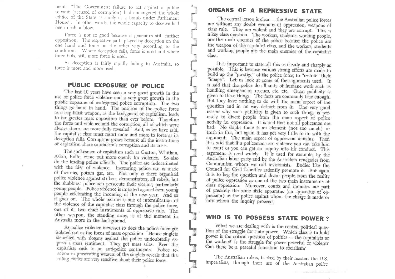ment: "The Government failure to act against a public servant (accused of corruption) had endangered the whole edifice of the State as surely as a bomb under Parliament House". In other words, the whole capacity to deceive had been dealt a blow.

Force is not so good because it generates still further opposition. The respective parts played by deception on the one hand and force on the other vary according to the conditions. Where deception fails, force is used and where force fails, still more force is used.

As deception is fairly rapidly failing in Australia, so force is more and more used.

## PUBLIC EXPOSURE OF POLICE

The last 10 years have seen a very great growth in the use of police force violence and a very great growth in the public exposure of widespread police corruption. The two things go hand in hand. The position of the police force as a capitalist weapon, as the bodyguard of capitalism, leads to far greater mass opposition than ever before. Therefore the force and violence and the corruption, all of which were always there, are more fully revealed. And, as we have said, the capitalist class must resort more and more to force as its deception fails. Corruption grows because all the institutions of capitalism share capitalism's corruption and its crisis.

The spokesmen of capitalism such as Gorton, Whitlam, Askin, Bolte, come out more openly for violence. So also do the leading police officials. The police are indoctrinated with the idea of violence. Increasing police use is made of firearms, poison gas, etc. Not only is there organised police violence against strikers, demonstrators, all rebels, but the shabbiest policemen persecute their victims, particularly young people. Police yiolence is initiated against even young people celebrating the incoming of the new year. And so it goes on. The whole picture is one of intensification of the violence of the capitalist class through the police force, one of its two chief instruments of oppressive rule. The other weapon, the standing army, is at the moment in Australia more in the background.

As police violence increases so does the police force get isolated out as the focus of mass opposition. Hence singlets stencilled with slogans against the police undoubtedly express a mass sentiment. They got mass sales. Even the capitalists cash in on anti-police sentiments. Police reaction in prosecuting wearers of the singlets reveals that the ruling circles are very sensitive about their police force.

## ORGANS OF A REPRESSIVE STATE

The central lesson is clear - the Australian police forces are without any doubt weapons of oppression, weapons of class rule. They are violent and they are corrupt. This is a key class question. The workers, students, working people, are the main enemies of the police because the police are the weapon of the capitalist class, and the workers, students and working people are the main enemies of the capitalist class.

It is important to state all this as clearly and sharply as possible. This is because various strong efforts are made to build up the "prestige" of the police force, to "restore" their "image". Let us look at some of the arguments used. It is said that the police do all sorts of humane work such as handling emergencies, rescues, etc. etc. Great publicity is given to these things. The facts are commonly true enough. But they have nothing to do with the main aspect of the question and in no way detract from it. One very good reason why such publicity is given to such things is precisely to divert people from the main aspect of police activity i.e. oppression. It is said that not all policemen are bad. No doubt there is an element (not too much) of truth in this, but again it has got very little to do with the argument. The main aspect of oppression remains. Then it is said that if a policeman uses violence you can take him to court or you can get an inquiry into his conduct. This argument is used widely. It is used for example, by the Australian labor party and by the Australian renegades from Communism whom we call revisionists. Bodies like the Council for Civil Liberties ardently promote it. But again it is to beg the question and divert people from the reality of police oppression as one of the two main instruments of class oppression. Moreover, courts and inquiries are part of precisely the same state apparatus (an apparatus of oppression) as the police against whom the charge is made or into whom the inquiry proceeds.

# WHO IS TO POSSESS STATE POWER ?

What we are dealing with is the central political question of the struggle for state power. Which class is to hold power is the critical question of politics - the capitalists or the workers? Is the struggle for power peaceful or violent? Can there be a peaceful transition to socialism?

The Australian rulers, backed by their masters the U.S. imperialists, through their use of the Australian police